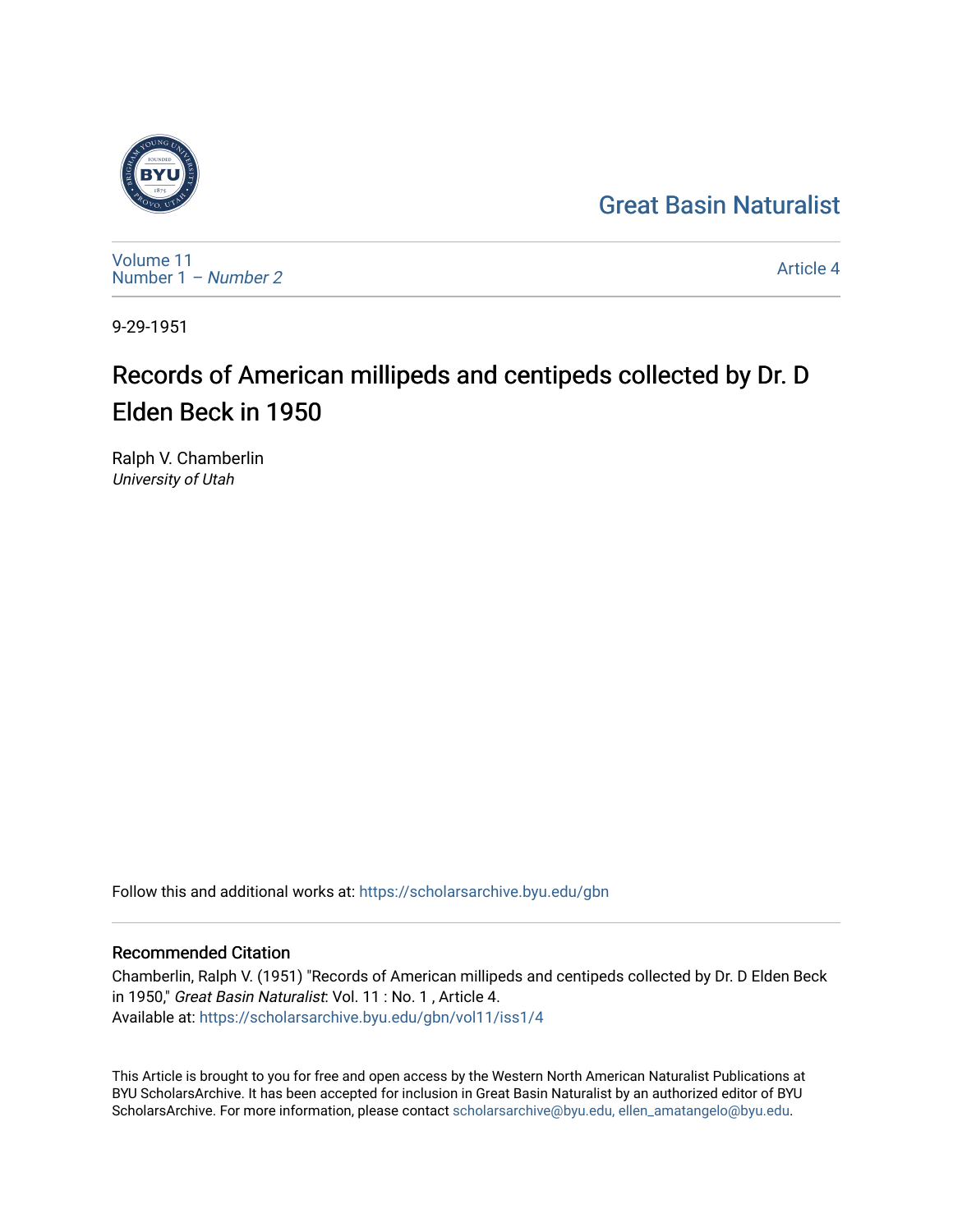## [Great Basin Naturalist](https://scholarsarchive.byu.edu/gbn)



[Volume 11](https://scholarsarchive.byu.edu/gbn/vol11) [Number 1](https://scholarsarchive.byu.edu/gbn/vol11/iss1) – Number 2

[Article 4](https://scholarsarchive.byu.edu/gbn/vol11/iss1/4) 

9-29-1951

# Records of American millipeds and centipeds collected by Dr. D Elden Beck in 1950

Ralph V. Chamberlin University of Utah

Follow this and additional works at: [https://scholarsarchive.byu.edu/gbn](https://scholarsarchive.byu.edu/gbn?utm_source=scholarsarchive.byu.edu%2Fgbn%2Fvol11%2Fiss1%2F4&utm_medium=PDF&utm_campaign=PDFCoverPages) 

## Recommended Citation

Chamberlin, Ralph V. (1951) "Records of American millipeds and centipeds collected by Dr. D Elden Beck in 1950," Great Basin Naturalist: Vol. 11 : No. 1 , Article 4. Available at: [https://scholarsarchive.byu.edu/gbn/vol11/iss1/4](https://scholarsarchive.byu.edu/gbn/vol11/iss1/4?utm_source=scholarsarchive.byu.edu%2Fgbn%2Fvol11%2Fiss1%2F4&utm_medium=PDF&utm_campaign=PDFCoverPages)

This Article is brought to you for free and open access by the Western North American Naturalist Publications at BYU ScholarsArchive. It has been accepted for inclusion in Great Basin Naturalist by an authorized editor of BYU ScholarsArchive. For more information, please contact [scholarsarchive@byu.edu, ellen\\_amatangelo@byu.edu.](mailto:scholarsarchive@byu.edu,%20ellen_amatangelo@byu.edu)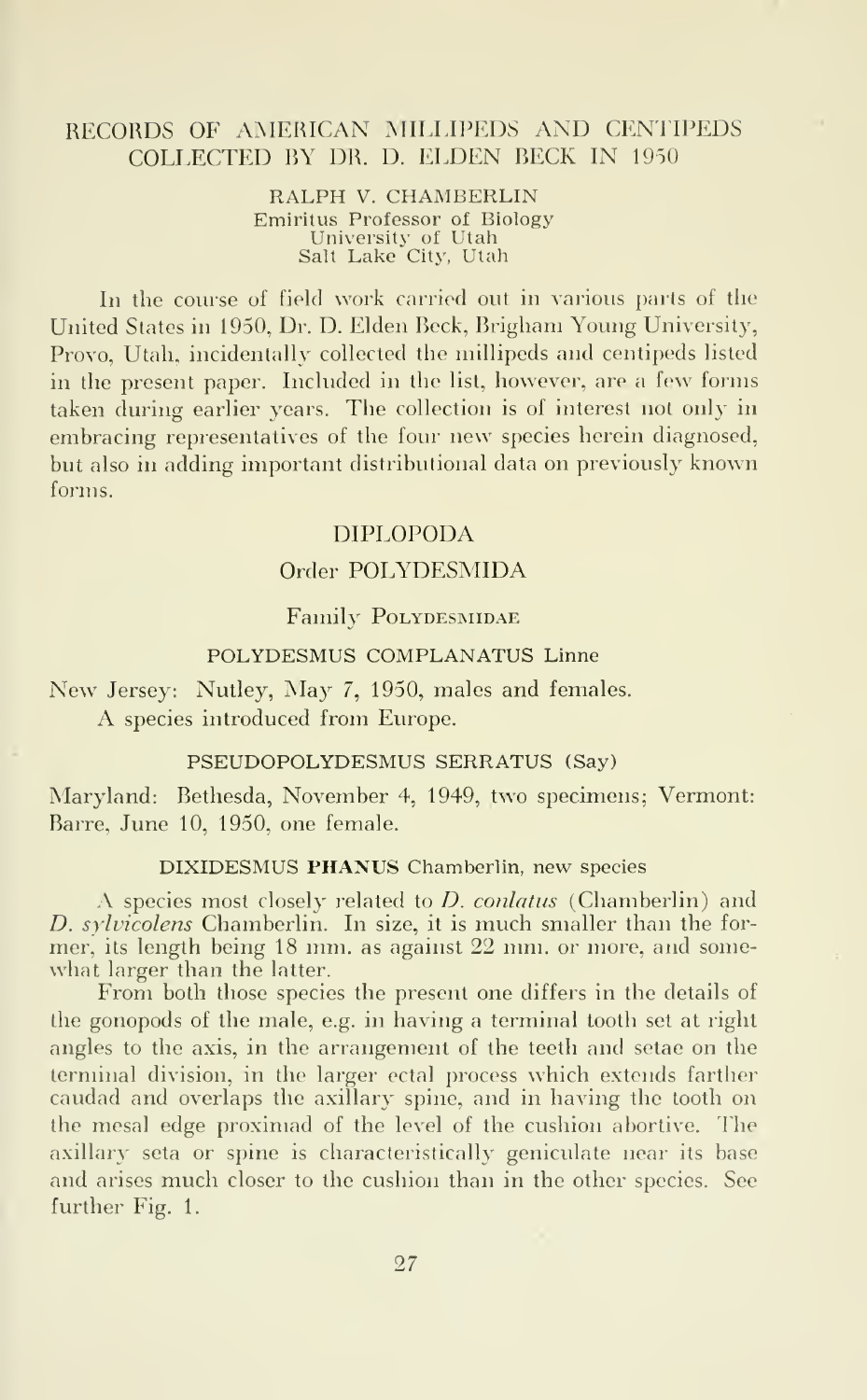## RECORDS OF AMERICAN MILLIPEDS AND CENTIPEDS COLLECTED BY DR. D. ELDEN BECK IN <sup>1950</sup>

#### RALPH V. CHAMBERLIN Emiritus Professor of Biology University of Utah Salt Lake City, Utah

In the course of field work carried out in various parts of the United States in 1950, Dr. D. Elden Beck, Brigham Young University, Provo, Utah, incidentally collected the millipeds and centipeds listed in the present paper. Included in the list, however, are a few forms taken during earlier years. The collection is of interest not only in embracing representatives of the four new species herein diagnosed, but also in adding important distributional data on previously known forms.

## DIPLOPODA

## Order POLYDESMIDA

## Family POLYDESMIDAE

## POLYDESMUS COMPLANATUS Linne

New Jersey: Nutley, May 7, 1950, males and females. A species introduced from Europe.

## PSEUDOPOLYDESMUS SERRATUS (Say)

Maryland: Bethesda, November 4, 1949, two specimens; Vermont: Barre, June 10, 1950, one female.

## DIXIDESMUS PHANUS Chamberlin, new species

A species most closely related to *D. conlatus* (Chamberlin) and D. sylvicolens Chamberlin. In size, it is much smaller than the former, its length being 18 mm. as against 22 mm. or more, and some what larger than the latter.

From both those species the present one differs in the details of the gonopods of the male, e.g. in having a terminal tooth set at right angles to the axis, in the arrangement of the teeth and setae on the terminal division, in the larger ectal process which extends farther caudad and overlaps the axillary spine, and in having the tooth on the mesal edge proximad of the level of the cushion abortive. The axillary seta or spine is characteristically geniculate near its base and arises much closer to the cushion than in the other species. See further Fig. 1.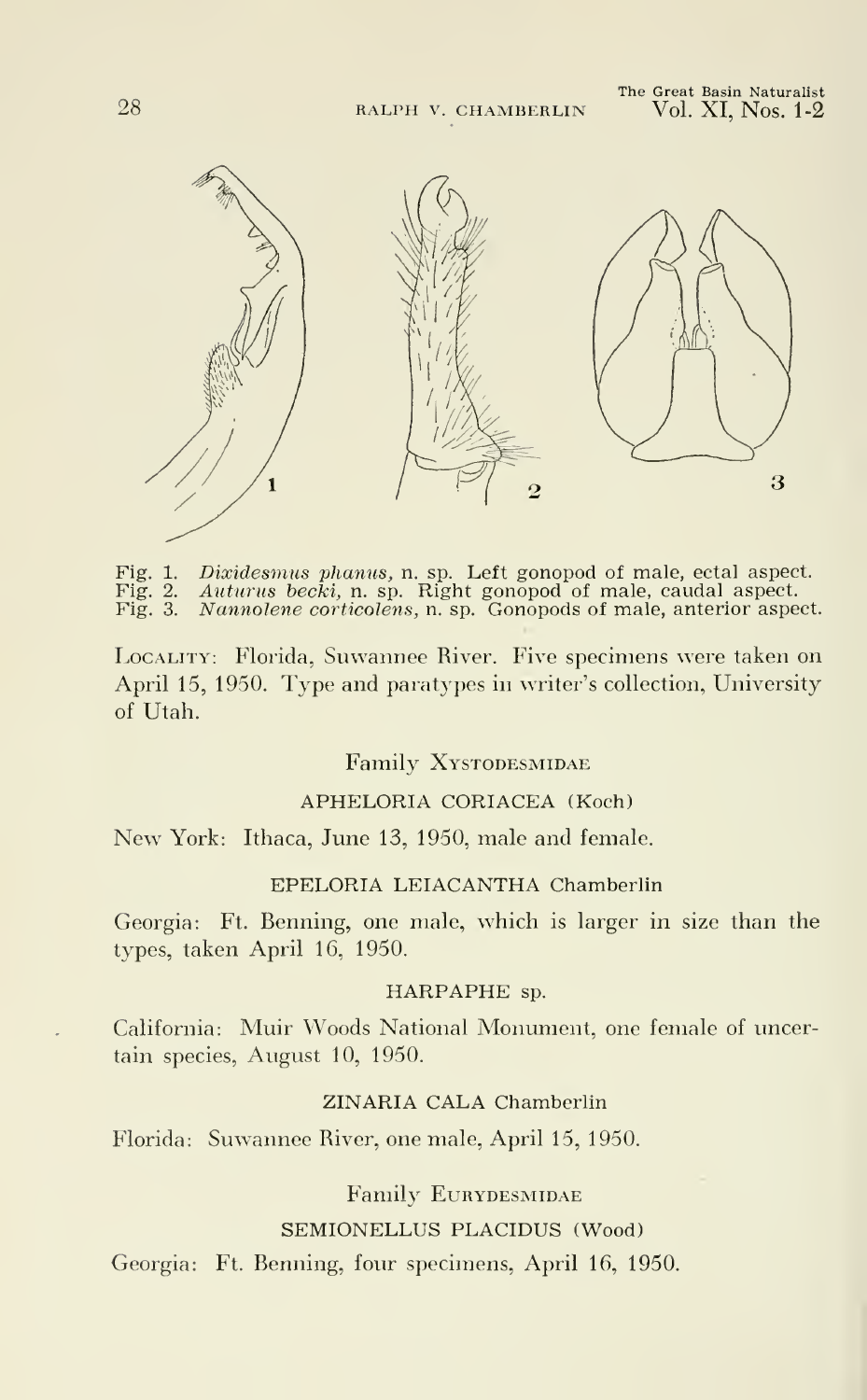

Fig. 1. Dixidesmus phanus, n. sp. Left gonopod of male, ectal aspect. Fig. 2. Auturus becki, n. sp. Right gonopod of male, caudal aspect. Fig. 3. Nannolene corticolens, n. sp. Gonopods of male, anterior aspect.

LOCALITY: Florida, Suwannee River. Five specimens were taken on April 15, 1950. Type and paratypes in writer's collection, University of Utah.

## Family Xystodesmidae

## APHELORIA CORIACEA (Koch)

New York: Ithaca, June 13, 1950, male and female.

#### EPELORIA LEIACANTHA Chamberlin

Georgia: Ft. Benning, one male, which is larger in size than the types, taken April 16, 1950.

#### HARPAPHE sp.

California: Muir Woods National Monument, one female of uncertain species, August 10, 1950.

## ZINARIA CALA Chamberlin

Florida: Suwannee River, one male, April 15, 1950.

Family Eurydesmidae

## SEMIONELLUS PLACIDUS (Wood)

Georgia: Ft. Benning, four specimens, April 16, 1950.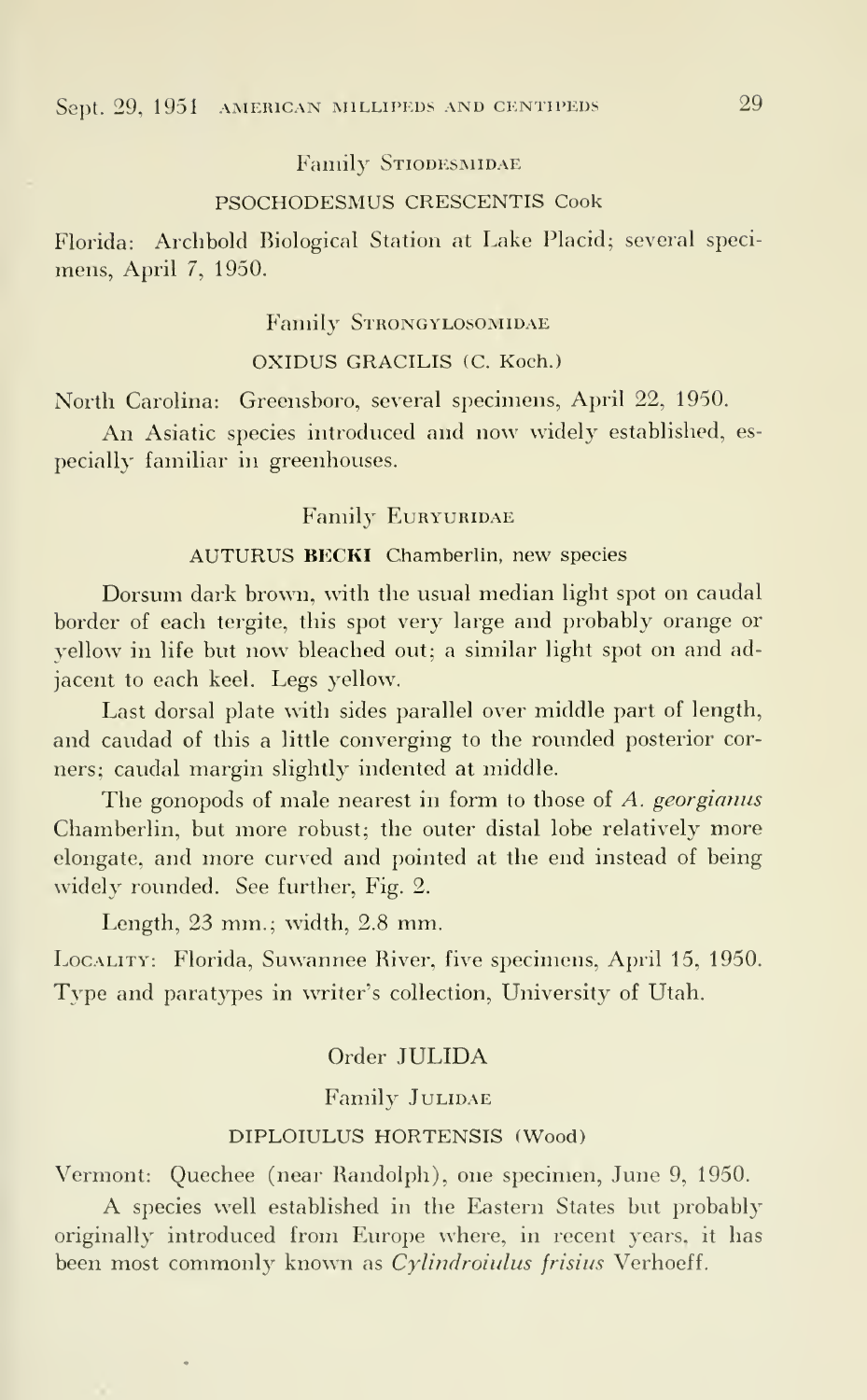Family STIODESMIDAE

#### PSOCHODESMUS CRESCENTIS Cook

Florida: Archbold Biological Station at Lake Placid; several specimens, April 7, 1950.

## Family STRONGYLOSOMIDAE

## OXIDUS GRACILIS (C. Koch.)

North Carolina: Greensboro, several specimens, April 22, 1950.

An Asiatic species introduced and now widely established, es pecially familiar in greenhouses.

## Family EURYURIDAE

## AUTURUS BECKI Chamberlin, new species

Dorsum dark brown, with the usual median light spot on caudal border of each tergite, this spot very large and probably orange or yellow in life but now bleached out; <sup>a</sup> similar light spot on and adjacent to each keel. Legs yellow.

Last dorsal plate with sides parallel over middle part of length, and caudad of this a little converging to the rounded posterior cor ners; caudal margin slightly indented at middle.

The gonopods of male nearest in form to those of A. georgianus Chamberlin, but more robust; the outer distal lobe relatively more elongate, and more curved and pointed at the end instead of being widely rounded. See further, Fig. 2.

Length, 23 mm.; width, 2.8 mm.

Locality: Florida, Suwannee River, five specimens, April 15, 1950. Type and paratypes in writer's collection, University of Utah.

## Order JULIDA

## Family JULIDAE

## DIPLOIULUS HORTENSIS (Wood)

Vermont: Quechee (near Randolph), one specimen, June 9, 1950.

A species well established in the Eastern States but probably originally introduced from Europe where, in recent years, it has been most commonly known as Cylindroiulus frisius Verhoeff.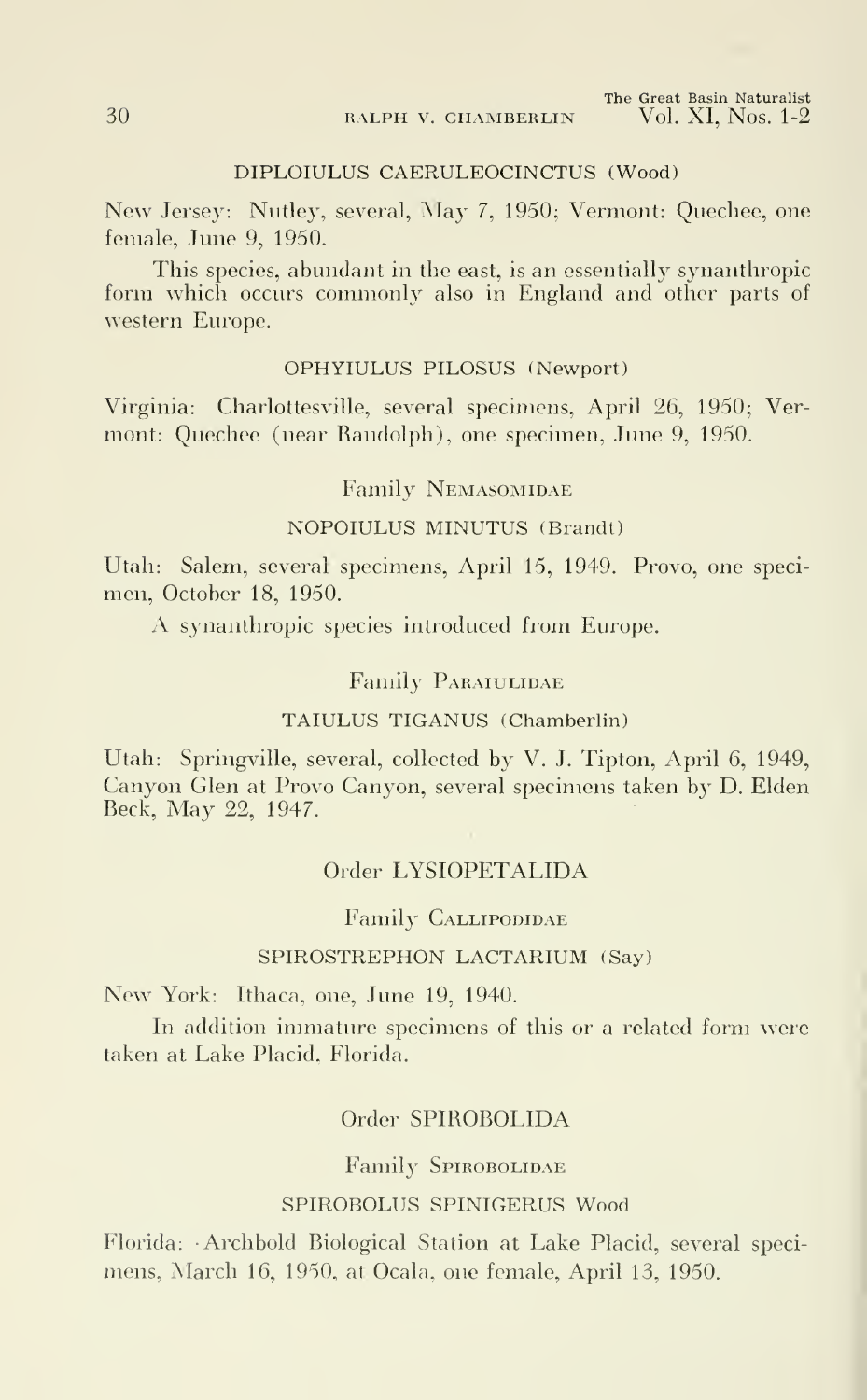30 RALPH V. CHAMBERLIN

## DIPLOIULUS CAERULEOCINCTUS (Wood)

New Jersey: Nutley, several, May 7, 1950; Vermont: Quechee, one female, June 9, 1950.

This species, abundant in the east, is an essentially synanthropic form which occurs commonly also in England and other parts of western Europe.

## OPHYIULUS PILOSUS (Newport)

Virginia: Charlottesville, several specimens, April 26, 1950; Vermont: Quechee (near Randolph), one specimen, June 9, 1950.

## Family Nemasomidae

## NOPOIULUS MINUTUS (Brandt)

Utah: Salem, several specimens, April 15, 1949. Provo, one specimen, October 18, 1950.

A synanthropic species introduced from Europe.

## Family PARAIULIDAE

## TAIULUS TIGANUS (Chamberlin)

Utah: Springville, several, collected by V. J. Tipton, April 6, 1949, Canyon Glen at Provo Canyon, several specimens taken by D. Elden Beck, May 22, 1947.

## Order LYSIOPETALIDA

## Family CALLIPODIDAE

## SPIROSTREPHON LACTARIUM (Say)

New York: Ithaca, one, June 19, 1940.

In addition immature specimens of this or a related form were taken at Lake Placid, Florida.

## Order SPIROBOLIDA

#### Family SPIROBOLIDAE

## SPIROBOLUS SPINIGERUS Wood

Florida: Archbold Biological Station at Lake Placid, several specimens, March 16, 1950, at Ocala, one female, April 13, 1950.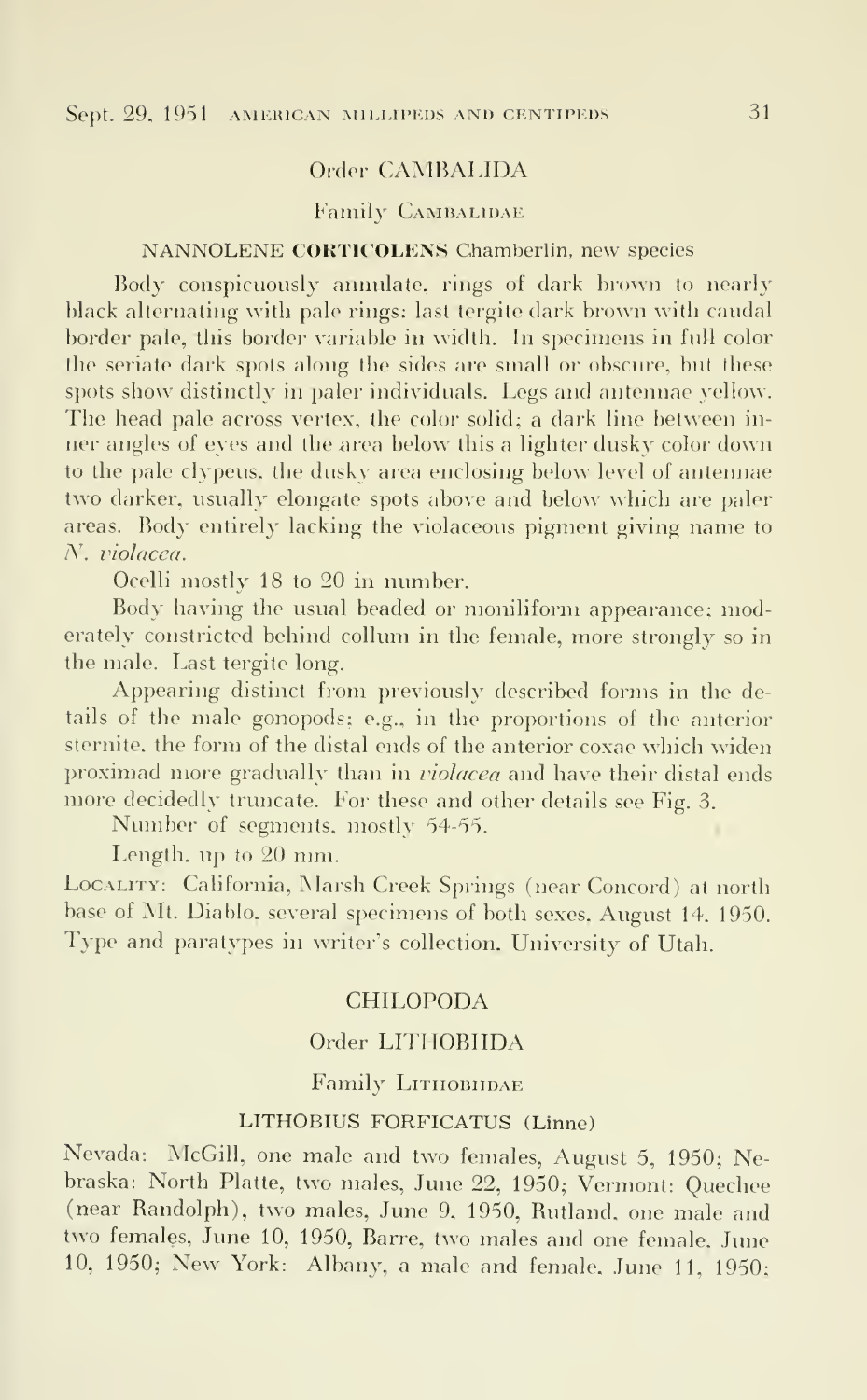## Order CAMBALIDA

## Family CAMBALIDAE

## NANNOLENE CORTICOLENS Chamberlin, new species

Body conspicuously annulate, rings of dark brown to nearly black alternating with pale rings; last tergite dark brown with caudal border pale, this border variable in width. In specimens in full color the seriate dark spots along the sides are small or obscure, but these spots show distinctly in paler individuals. Legs and antennae yellow. The head pale across vertex, the color solid; a dark line between in ner angles of eyes and the area below this a lighter dusky color down to the pale clypeus, the dusky area enclosing below level of antennae two darker, usually elongate spots above and below which are paler areas. Body entirely lacking the violaceous pigment giving name to N. violacea.

Ocelli mostly 18 to 20 in number.

Body having the usual beaded or moniliform appearance; moderately constricted behind collum in the female, more strongly so in the male. Last tergite long.

Appearing distinct from previously described forms in the details of the male gonopods; e.g., in the proportions of the anterior sternite, the form of the distal ends of the anterior coxae which widen proximad more gradually than in violacea and have their distal ends more decidedly truncate. For these and other details see Fig. 3.

Number of segments, mostly 54-55.

Length, up to 20 mm.

Locality: California, Marsh Creek Springs (near Concord) at north base of Mt. Diablo, several specimens of both sexes. August 14, 1950. rype and paratypes in writer's collection, University of Utah.

## CHILOPODA

## Order LITHOBIIDA

## Family LITHOBIIDAE

## LITHOBIUS FORFICATUS (Linne)

Nevada: McGill, one male and two females, August 5, 1950; Nebraska: North Platte, two males, June 22, 1950; Vermont: Quechee (near Randolph), two males, June 9, 1950, Rutland, one male and two females, June 10, 1950, Barre. two males and one female. June 10. 1950; New York: Albany, <sup>a</sup> male and female. June 11. 1950;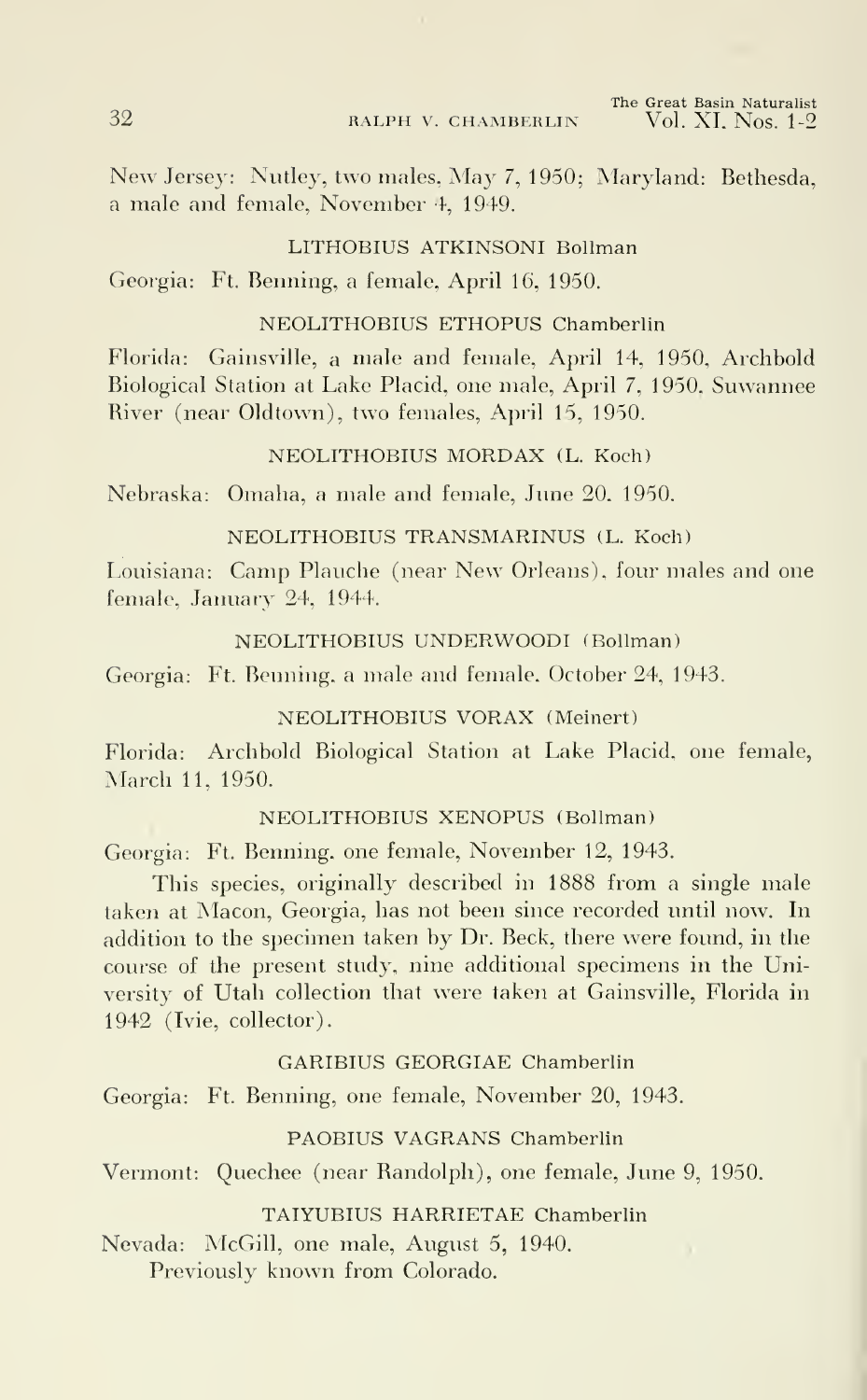32 RALPH V. CHAMBERLIN

The Great Basin Naturalist<br>Vol. XI, Nos. 1-9

New Jersey: Nutley, two males, May 7, 1950; Maryland: Bethesda, <sup>a</sup> male and female, November 4, 1949.

## LITHOBIUS ATKINSONI Bollman

Georgia: Ft. Benning, a female, April 16, 1950.

## NEOLITHOBIUS ETHOPUS Chamberlin

Florida: Gainsville, a male and female, April 14, 1950, Archbold Biological Station at Lake Placid, one male, April 7, 1950, Suwannee River (near Oldtown), two females, April 15, 1950.

## NEOLITHOBIUS MORDAX (L. Koch)

Nebraska: Omaha, a male and female, June 20, 1950.

## NEOLITHOBIUS TRANSMARINUS (L. Koch)

Louisiana: Camp Plauche (near New Orleans), four males and one female, January 24, 1944.

## NEOLITHOBIUS UNDERWOODI (Bollman)

Georgia: Ft. Benning, a male and female, October 24, 1943.

## NEOLITHOBIUS VORAX (Meinert)

Florida: Archbold Biological Station at Lake Placid, one female, March 11, 1950.

## NEOLITHOBIUS XENOPUS (Bollman)

Georgia: Ft. Benning, one female, November 12, 1943.

This species, originally described in 1888 from a single male taken at Macon, Georgia, has not been since recorded until now. In addition to the specimen taken by Dr. Beck, there were found, in the course of the present study, nine additional specimens in the University of Utah collection that were taken at Gainsville, Florida in 1942 (Ivie, collector).

## GARIBIUS GEORGIAE Chamberlin

Georgia: Ft. Benning, one female, November 20, 1943.

## PAOBIUS VAGRANS Chamberlin

Vermont: Quechee (near Randolph), one female, June 9, 1950.

## TAIYUBIUS HARRIETAE Chamberlin

Nevada: McGill, one male, August 5, 1940. Previously known from Colorado.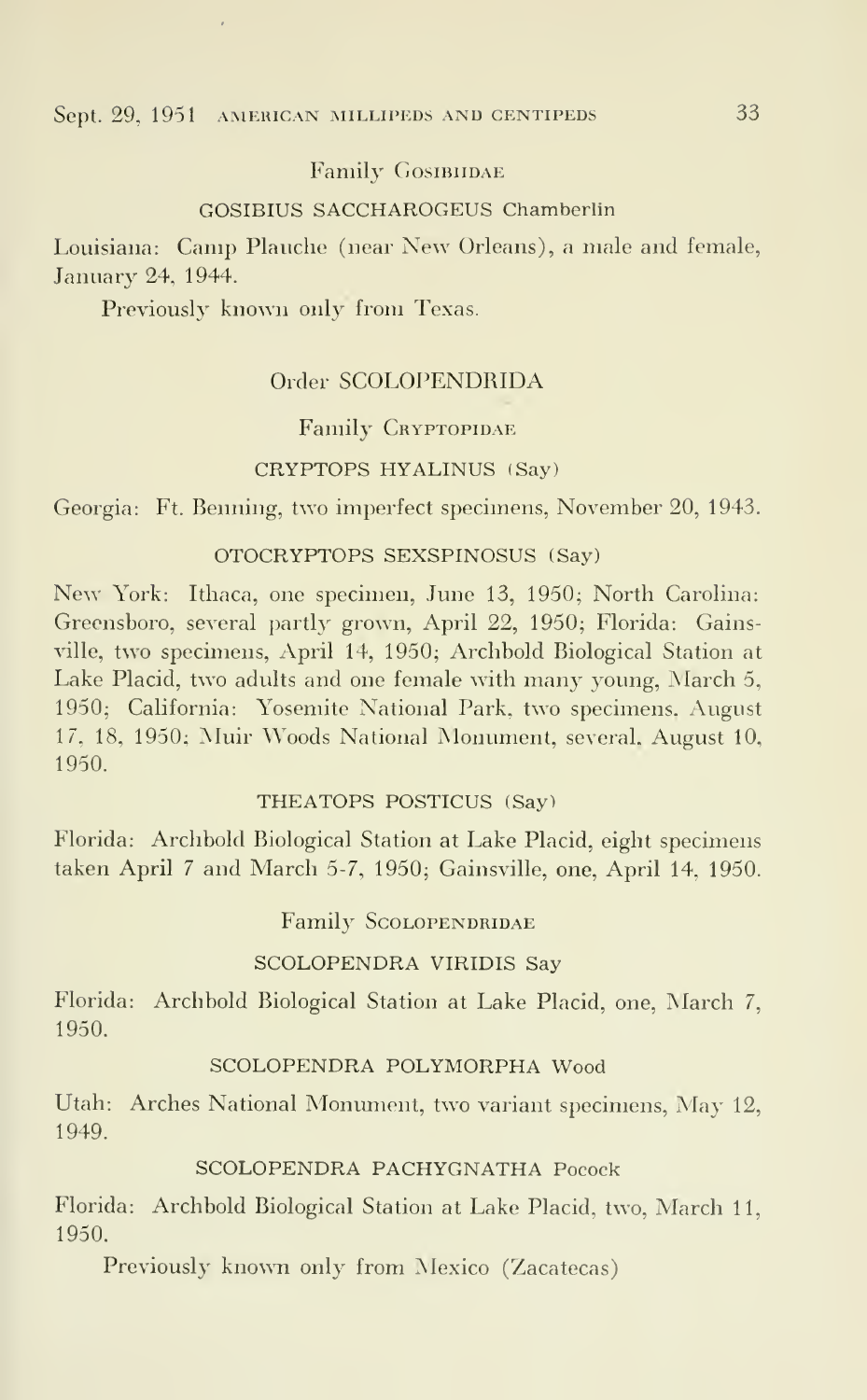## Sept. 29, 1951 AMERICAN MILLIPEDS AND CENTIPEDS 33

## Family Gosibiidae

## GOSIBIUS SACCHAROGEUS Chamberlin

Louisiana: Camp Plauche (near New Orleans), <sup>a</sup> male and female, January 24, 1944.

Previously known only from Texas.

## Order SCOLOPENDRIDA

## Family CRYPTOPIDAE

## CRYPTOPS HYALINUS (Say)

Georgia: Ft. Benning, two imperfect specimens, November 20, 1943.

## OTOCRYPTOPS SEXSPINOSUS (Say)

New York: Ithaca, one specimen, June 13, 1950; North Carolina: Greensboro, several partly grown, April 22, 1950; Florida: Gainsville, two specimens, April 14, 1950; Archbold Biological Station at Lake Placid, two adults and one female with many young, March 5, 1950; California: Yosemite National Park, two specimens, August 17, 18, 1950; Muir Woods National Monument, several, August 10, 1950.

#### THEATOPS POSTICUS (Say)

Florida: Archbold Biological Station at Lake Placid, eight specimens taken April <sup>7</sup> and March 5-7, 1950; Gainsville, one, April 14, 1950.

Family SCOLOPENDRIDAE

## SCOLOPENDRA VIRIDIS Say

Florida: Archbold Biological Station at Lake Placid, one, March 7, 1950.

## SCOLOPENDRA POLYMORPHA Wood

Utah: Arches National Monument, two variant specimens, May 12, 1949.

## SCOLOPENDRA PACHYGNATHA Pocock

Florida: Archbold Biological Station at Lake Placid, two, March 11, 1950.

Previously known only from Mexico (Zacatecas)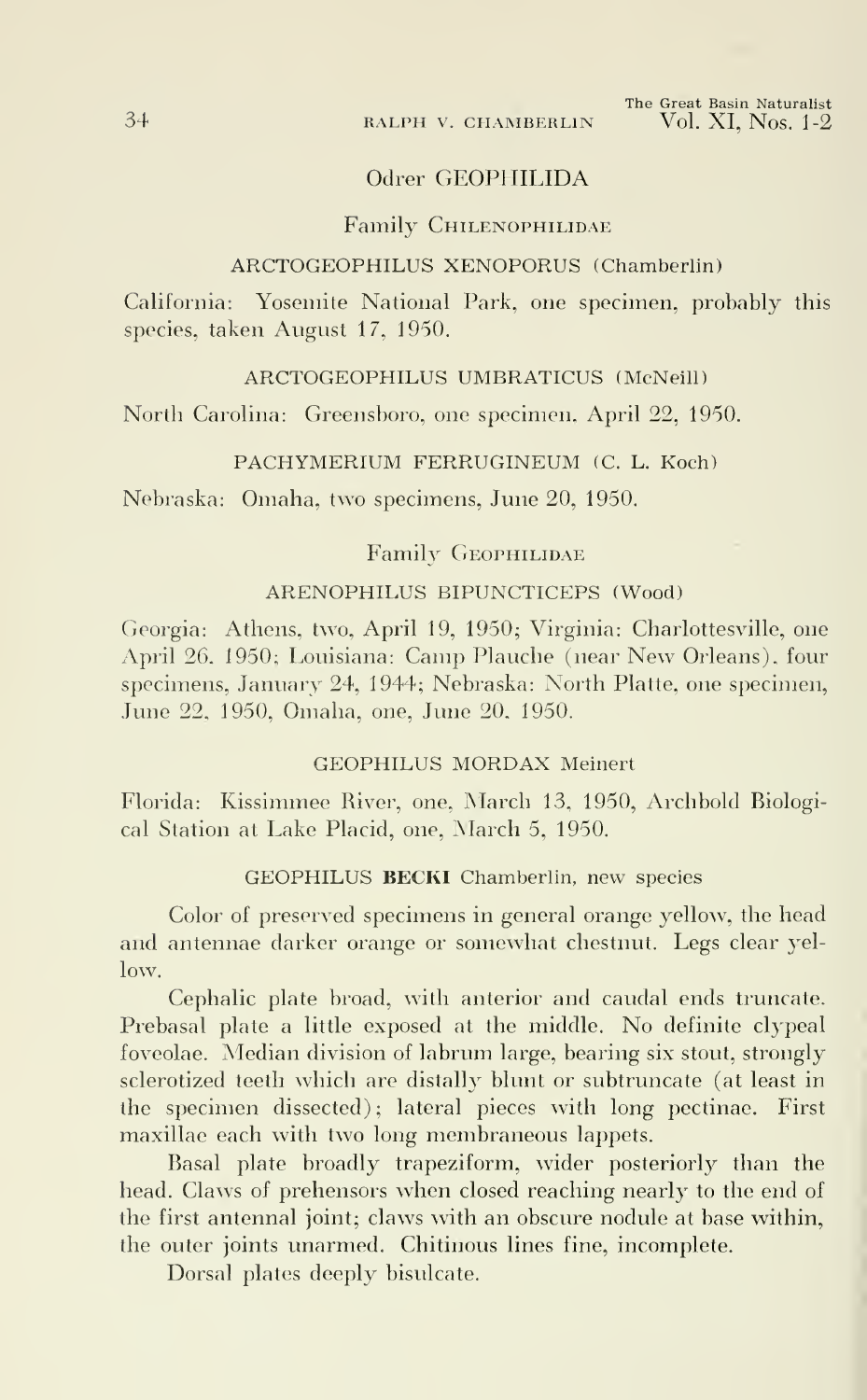## 34 RALPH V. CHAMBERLIN

## Odrer GEOPHILIDA

## Family Chilenophilidae

## ARCTOGEOPHILUS XENOPORUS (Chamberlin)

California: Yosemite National Park, one specimen, probably this species, taken August 17, 1950.

## ARCTOGEOPHILUS UMBRATICUS (McNeill)

North Carolina: Greensboro, one specimen, April 22, 1950.

#### PACHYMERIUM FERRUGINEUM (C. L. Koch)

Nebraska: Omaha, two specimens, June 20, 1950.

## Family GEOPHILIDAE

## ARENOPHILUS BIPUNCTICEPS (Wood)

Georgia: Athens, two, April 19, 1950; Virginia: Charlottesville, one April 26, 1950; Louisiana: Camp Plauche (near New Orleans), four specimens, January 24, 1944; Nebraska: North Platte, one specimen, June 22, 1950, Omaha, one, June 20, 1950.

## GEOPHILUS MORDAX Meinert

Florida: Kissimmee River, one, March 13, 1950, Archbold Biological Station at Lake Placid, one, March 5, 1950.

#### GEOPHILUS BECKI Chamberlin, new species

Color of preserved specimens in general orange yellow, the head and antennae darker orange or somewhat chestnut. Legs clear yellow.

Cephalic plate broad, with anterior and caudal ends truncate. Prebasal plate <sup>a</sup> little exposed at the middle. No definite clypeal foveolae. Median division of labrum large, bearing six stout, strongly sclerotized teeth which are distally blunt or subtruncate (at least in the specimen dissected); lateral pieces with long pectinae. First maxillae each with two long membraneous lappets.

Basal plate broadly trapeziform, wider posteriorly than the head. Claws of prehensors when closed reaching nearly to the end of the first antennal joint; claws with an obscure nodule at base within, the outer joints unarmed. Chitinous lines fine, incomplete.

Dorsal plates deeply bisulcate.